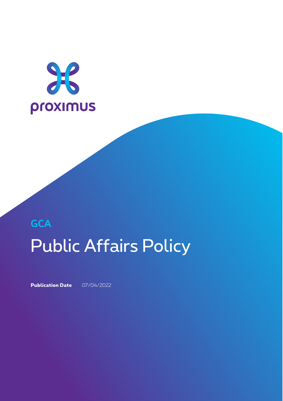

# **GCA** Public Affairs Policy

**Publication Date** 07/04/2022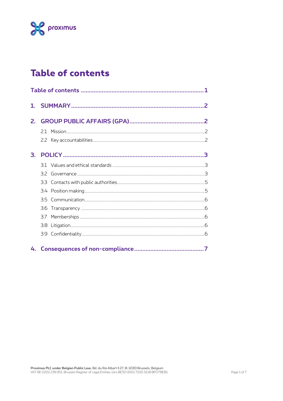

# **Table of contents**

| 2. |  |  |  |
|----|--|--|--|
|    |  |  |  |
|    |  |  |  |
| В. |  |  |  |
|    |  |  |  |
|    |  |  |  |
|    |  |  |  |
|    |  |  |  |
|    |  |  |  |
|    |  |  |  |
|    |  |  |  |
|    |  |  |  |
|    |  |  |  |
| 4. |  |  |  |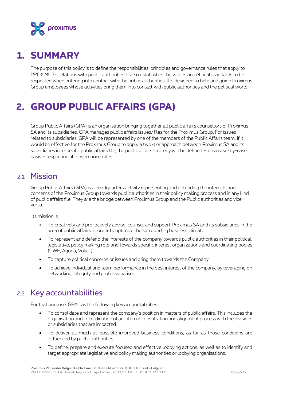

# **1. SUMMARY**

The purpose of this policy is to define the responsibilities, principles and governance rules that apply to PROXIMUS's relations with public authorities. It also establishes the values and ethical standards to be respected when entering into contact with the public authorities. It is designed to help and guide Proximus Group employees whose activities bring them into contact with public authorities and the political world.

# **2. GROUP PUBLIC AFFAIRS (GPA)**

Group Public Affairs (GPA) is an organisation bringing together all public affairs counsellors of Proximus SA and its subsidiaries. GPA manages public affairs issues/files for the Proximus Group. For issues related to subsidiaries, GPA will be represented by one of the members of the Public Affairs team. If it would be effective for the Proximus Group to apply a two-tier approach between Proximus SA and its subsidiaries in a specific public affairs file, the public affairs strategy will be defined – on a case-by-case basis – respecting all governance rules

# 21 Mission

Group Public Affairs (GPA) is a headquarters activity representing and defending the interests and concerns of the Proximus Group towards public authorities in their policy making process and in any kind of public affairs file. They are the bridge between Proximus Group and the Public authorities and vice versa.

Its mission is:

- To creatively and pro-actively advise, counsel and support Proximus SA and its subsidiaries in the area of public affairs, in order to optimize the surrounding business climate
- To represent and defend the interests of the company towards public authorities in their political, legislative, policy making role and towards specific interest organizations and coordinating bodies (UWE, Agoria, Voka…)
- To capture political concerns or issues and bring them towards the Company
- To achieve individual and team performance in the best interest of the company, by leveraging on networking, integrity and professionalism

# 2.2 Key accountabilities

For that purpose, GPA has the following key accountabilities:

- To consolidate and represent the company's position in matters of public affairs. This includes the organisation and co-ordination of an internal consultation and alignment process with the divisions or subsidiaries that are impacted.
- To deliver as much as possible improved business conditions, as far as those conditions are influenced by public authorities.
- To define, prepare and execute focused and effective lobbying actions, as well as to identify and target appropriate legislative and policy making authorities or lobbying organisations.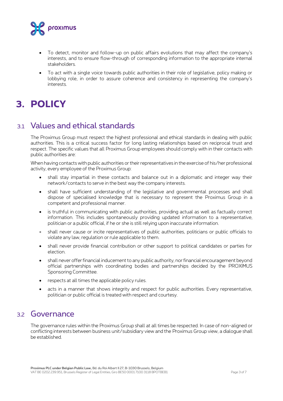

- To detect, monitor and follow-up on public affairs evolutions that may affect the company's interests, and to ensure flow-through of corresponding information to the appropriate internal stakeholders.
- To act with a single voice towards public authorities in their role of legislative, policy making or lobbying role, in order to assure coherence and consistency in representing the company's interests.

# **3. POLICY**

# 3.1 Values and ethical standards

The Proximus Group must respect the highest professional and ethical standards in dealing with public authorities. This is a critical success factor for long lasting relationships based on reciprocal trust and respect. The specific values that all Proximus Group employees should comply with in their contacts with public authorities are:

When having contacts with public authorities or their representatives in the exercise of his/her professional activity, every employee of the Proximus Group:

- shall stay impartial in these contacts and balance out in a diplomatic and integer way their network/contacts to serve in the best way the company interests.
- shall have sufficient understanding of the legislative and governmental processes and shall dispose of specialised knowledge that is necessary to represent the Proximus Group in a competent and professional manner.
- is truthful in communicating with public authorities, providing actual as well as factually correct information. This includes spontaneously providing updated information to a representative, politician or a public official, if he or she is still relying upon inaccurate information.
- shall never cause or incite representatives of public authorities, politicians or public officials to violate any law, regulation or rule applicable to them.
- shall never provide financial contribution or other support to political candidates or parties for election.
- shall never offer financial inducement to any public authority, nor financial encouragement beyond official partnerships with coordinating bodies and partnerships decided by the PROXIMUS Sponsoring Committee.
- respects at all times the applicable policy rules.
- acts in a manner that shows integrity and respect for public authorities. Every representative, politician or public official is treated with respect and courtesy.

### 3.2 Governance

The governance rules within the Proximus Group shall at all times be respected. In case of non-aligned or conflicting interests between business unit/subsidiary view and the Proximus Group view, a dialogue shall be established.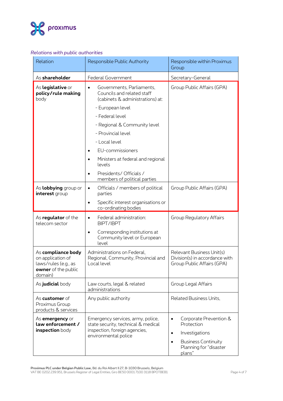

#### *Relations with public authorities*

| Relation                                                                                          | Responsible Public Authority                                                                                                                                                                                                                                                                                                                                                                | Responsible within Proximus<br>Group                                                                                                                            |
|---------------------------------------------------------------------------------------------------|---------------------------------------------------------------------------------------------------------------------------------------------------------------------------------------------------------------------------------------------------------------------------------------------------------------------------------------------------------------------------------------------|-----------------------------------------------------------------------------------------------------------------------------------------------------------------|
| As shareholder                                                                                    | <b>Federal Government</b>                                                                                                                                                                                                                                                                                                                                                                   | Secretary-General                                                                                                                                               |
| As legislative or<br>policy/rule making<br>body                                                   | Governments, Parliaments,<br>$\bullet$<br>Councils and related staff<br>(cabinets & administrations) at:<br>- European level<br>- Federal level<br>- Regional & Community level<br>- Provincial level<br>- Local level<br>EU-commissioners<br>$\bullet$<br>Ministers at federal and regional<br>$\bullet$<br>levels<br>Presidents/ Officials /<br>$\bullet$<br>members of political parties | Group Public Affairs (GPA)                                                                                                                                      |
| As lobbying group or<br>interest group                                                            | Officials / members of political<br>$\bullet$<br>parties<br>Specific interest organisations or<br>$\bullet$<br>co-ordinating bodies                                                                                                                                                                                                                                                         | Group Public Affairs (GPA)                                                                                                                                      |
| As <b>regulator</b> of the<br>telecom sector                                                      | Federal administration:<br>$\bullet$<br>BIPT/IBPT<br>Corresponding institutions at<br>$\bullet$<br>Community level or European<br>level                                                                                                                                                                                                                                                     | <b>Group Regulatory Affairs</b>                                                                                                                                 |
| As compliance body<br>on application of<br>laws/rules (e.g., as<br>owner of the public<br>domain) | Administrations on Federal,<br>Regional, Community, Provincial and<br>Local level                                                                                                                                                                                                                                                                                                           | Relevant Business Unit(s)<br>Division(s) in accordance with<br>Group Public Affairs (GPA)                                                                       |
| As judicial body                                                                                  | Law courts, legal & related<br>administrations                                                                                                                                                                                                                                                                                                                                              | Group Legal Affairs                                                                                                                                             |
| As <b>customer</b> of<br>Proximus Group<br>products & services                                    | Any public authority                                                                                                                                                                                                                                                                                                                                                                        | Related Business Units,                                                                                                                                         |
| As <b>emergency</b> or<br>law enforcement /<br>inspection body                                    | Emergency services, army, police,<br>state security, technical & medical<br>inspection, foreign agencies,<br>environmental police                                                                                                                                                                                                                                                           | Corporate Prevention &<br>$\bullet$<br>Protection<br>Investigations<br>$\bullet$<br><b>Business Continuity</b><br>$\bullet$<br>Planning for "disaster<br>plans" |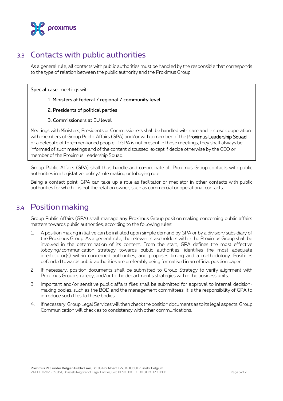

# 3.3 Contacts with public authorities

As a general rule, all contacts with public authorities must be handled by the responsible that corresponds to the type of relation between the public authority and the Proximus Group

Special case: meetings with

- 1. Ministers at federal / regional / community level
- 2. Presidents of political parties
- 3. Commissioners at EU level

Meetings with Ministers, Presidents or Commissioners shall be handled with care and in close cooperation with members of Group Public Affairs (GPA) and/or with a member of the Proximus Leadership Squad or a delegate of fore-mentioned people. If GPA is not present in those meetings, they shall always be informed of such meetings and of the content discussed, except if decide otherwise by the CEO or member of the Proximus Leadership Squad.

Group Public Affairs (GPA) shall thus handle and co-ordinate all Proximus Group contacts with public authorities in a legislative, policy/rule making or lobbying role.

Being a contact point, GPA can take up a role as facilitator or mediator in other contacts with public authorities for which it is not the relation owner, such as commercial or operational contacts.

### 3.4 Position making

Group Public Affairs (GPA) shall manage any Proximus Group position making concerning public affairs matters towards public authorities, according to the following rules:

- 1. A position making initiative can be initiated upon simple demand by GPA or by a division/subsidiary of the Proximus Group. As a general rule, the relevant stakeholders within the Proximus Group shall be involved in the determination of its content. From the start, GPA defines the most effective lobbying/communication strategy towards public authorities, identifies the most adequate interlocutor(s) within concerned authorities, and proposes timing and a methodology. Positions defended towards public authorities are preferably being formalised in an official position paper.
- 2. If necessary, position documents shall be submitted to Group Strategy to verify alignment with Proximus Group strategy, and/or to the department's strategies within the business units.
- 3. Important and/or sensitive public affairs files shall be submitted for approval to internal decisionmaking bodies, such as the BOD and the management committees. It is the responsibility of GPA to introduce such files to these bodies.
- 4. If necessary, Group Legal Services will then check the position documents as to its legal aspects, Group Communication will check as to consistency with other communications.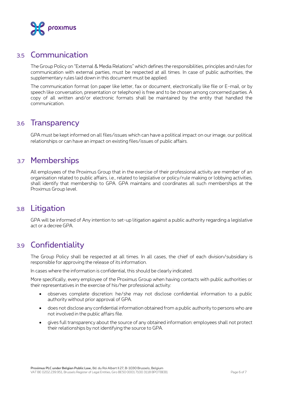

### 3.5 Communication

The Group Policy on "External & Media Relations" which defines the responsibilities, principles and rules for communication with external parties, must be respected at all times. In case of public authorities, the supplementary rules laid down in this document must be applied.

The communication format (on paper like letter, fax or document, electronically like file or E-mail, or by speech like conversation, presentation or telephone) is free and to be chosen among concerned parties. A copy of all written and/or electronic formats shall be maintained by the entity that handled the communication.

### 3.6 Transparency

GPA must be kept informed on all files/issues which can have a political impact on our image, our political relationships or can have an impact on existing files/issues of public affairs.

# 3.7 Memberships

All employees of the Proximus Group that in the exercise of their professional activity are member of an organisation related to public affairs, i.e., related to legislative or policy/rule making or lobbying activities, shall identify that membership to GPA. GPA maintains and coordinates all such memberships at the Proximus Group level.

# 3.8 Litigation

GPA will be informed of Any intention to set-up litigation against a public authority regarding a legislative act or a decree GPA.

# 3.9 Confidentiality

The Group Policy shall be respected at all times. In all cases, the chief of each division/subsidiary is responsible for approving the release of its information.

In cases where the information is confidential, this should be clearly indicated.

More specifically, every employee of the Proximus Group when having contacts with public authorities or their representatives in the exercise of his/her professional activity:

- observes complete discretion: he/she may not disclose confidential information to a public authority without prior approval of GPA.
- does not disclose any confidential information obtained from a public authority to persons who are not involved in the public affairs file.
- gives full transparency about the source of any obtained information: employees shall not protect their relationships by not identifying the source to GPA.